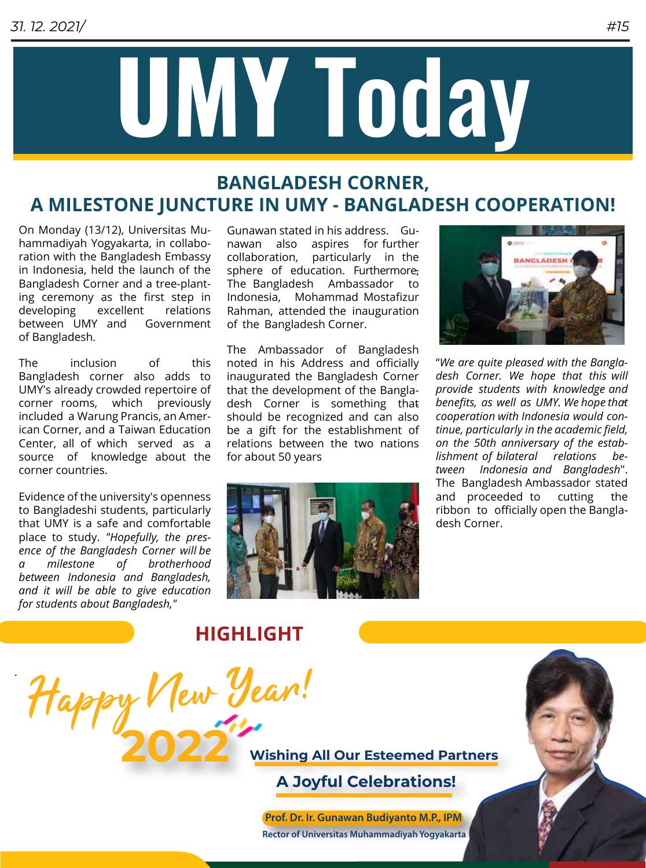# **UMY** Today

### **BANGLADESH CORNER, A MILESTONE JUNCTURE IN UMY - BANGLADESH COOPERATION!**

On Monday (13/12), Universitas Muhammadiyah Yogyakarta, in collaboration with the Bangladesh Embassy in Indonesia, held the launch of the Bangladesh Corner and a tree-planting ceremony as the first step in developing excellent relations between UMY and Government of Bangladesh.

The inclusion of this Bangladesh corner also adds to UMY's already crowded repertoire of corner rooms, which previously included a Warung Prancis, an American Corner, and a Taiwan Education Center, all of which served as a source of knowledge about the corner countries.

Evidence of the university's openness to Bangladeshi students, particularly that UMY is a safe and comfortable place to study. *"Hopefully, the presence of the Bangladesh Corner will be a milestone of brotherhood between Indonesia and Bangladesh, and it will be able to give education for students about Bangladesh,"*

.

Gunawan stated in his address. Gunawan also aspires for further collaboration, particularly in the sphere of education. Furthermore, The Bangladesh Ambassador to Indonesia, Mohammad Mostafizur Rahman, attended the inauguration of the Bangladesh Corner.

The Ambassador of Bangladesh noted in his Address and officially inaugurated the Bangladesh Corner that the development of the Bangladesh Corner is something that should be recognized and can also be a gift for the establishment of relations between the two nations for about 50 years





"*We are quite pleased with the Bangladesh Corner. We hope that this will provide students with knowledge and benefits, as well as UMY. We hope that cooperation with Indonesia would continue, particularly in the academic field, on the 50th anniversary of the establishment of bilateral relations between Indonesia and Bangladesh*". The Bangladesh Ambassador stated and proceeded to cutting the ribbon to officially open the Bangladesh Corner.

**HIGHLIGHT**

**2022** Happy New Year!

**Wishing All Our Esteemed Partners**

**A Joyful Celebrations!**

**Prof. Dr. Ir. Gunawan Budiyanto M.P., IPM Rector of Universitas Muhammadiyah Yogyakarta**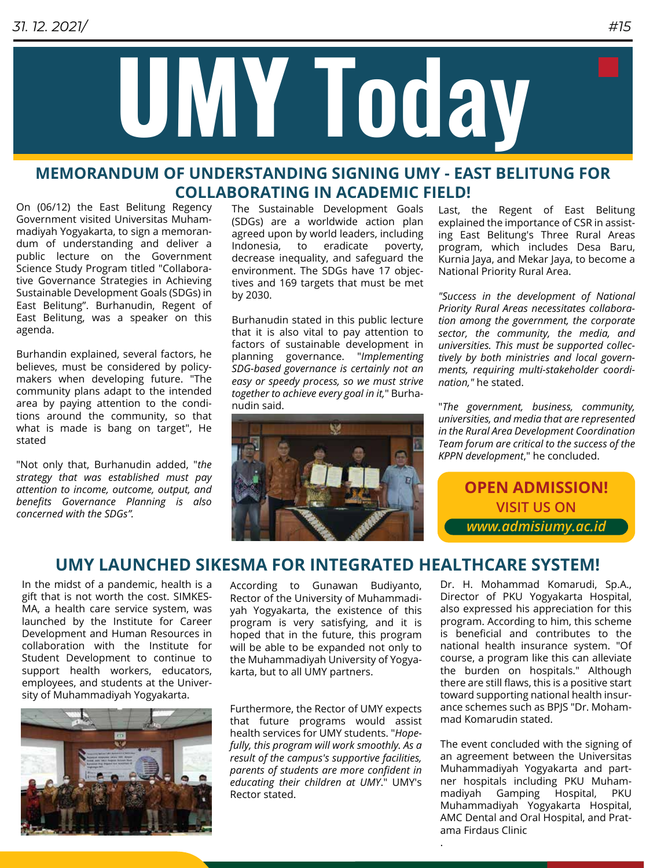

#### **MEMORANDUM OF UNDERSTANDING SIGNING UMY - EAST BELITUNG FOR COLLABORATING IN ACADEMIC FIELD!**

On (06/12) the East Belitung Regency Government visited Universitas Muhammadiyah Yogyakarta, to sign a memorandum of understanding and deliver a public lecture on the Government Science Study Program titled "Collaborative Governance Strategies in Achieving Sustainable Development Goals (SDGs) in East Belitung". Burhanudin, Regent of East Belitung, was a speaker on this agenda.

Burhandin explained, several factors, he believes, must be considered by policymakers when developing future. "The community plans adapt to the intended area by paying attention to the conditions around the community, so that what is made is bang on target", He stated

"Not only that, Burhanudin added, "*the strategy that was established must pay attention to income, outcome, output, and benefits Governance Planning is also concerned with the SDGs".* 

The Sustainable Development Goals (SDGs) are a worldwide action plan agreed upon by world leaders, including Indonesia, to eradicate poverty, decrease inequality, and safeguard the environment. The SDGs have 17 objectives and 169 targets that must be met by 2030.

Burhanudin stated in this public lecture that it is also vital to pay attention to factors of sustainable development in planning governance. "*Implementing SDG-based governance is certainly not an easy or speedy process, so we must strive together to achieve every goal in it,*" Burhanudin said.



Last, the Regent of East Belitung explained the importance of CSR in assisting East Belitung's Three Rural Areas program, which includes Desa Baru, Kurnia Jaya, and Mekar Jaya, to become a National Priority Rural Area.

*"Success in the development of National Priority Rural Areas necessitates collaboration among the government, the corporate sector, the community, the media, and universities. This must be supported collectively by both ministries and local governments, requiring multi-stakeholder coordination,"* he stated.

"*The government, business, community, universities, and media that are represented in the Rural Area Development Coordination Team forum are critical to the success of the KPPN development*," he concluded.

> **OPEN ADMISSION! VISIT US ON** *www.admisiumy.ac.id*

#### **UMY LAUNCHED SIKESMA FOR INTEGRATED HEALTHCARE SYSTEM!**

In the midst of a pandemic, health is a gift that is not worth the cost. SIMKES-MA, a health care service system, was launched by the Institute for Career Development and Human Resources in collaboration with the Institute for Student Development to continue to support health workers, educators, employees, and students at the University of Muhammadiyah Yogyakarta.



According to Gunawan Budiyanto, Rector of the University of Muhammadiyah Yogyakarta, the existence of this program is very satisfying, and it is hoped that in the future, this program will be able to be expanded not only to the Muhammadiyah University of Yogyakarta, but to all UMY partners.

Furthermore, the Rector of UMY expects that future programs would assist health services for UMY students. "*Hopefully, this program will work smoothly. As a result of the campus's supportive facilities, parents of students are more confident in educating their children at UMY*." UMY's Rector stated.

Dr. H. Mohammad Komarudi, Sp.A., Director of PKU Yogyakarta Hospital, also expressed his appreciation for this program. According to him, this scheme is beneficial and contributes to the national health insurance system. "Of course, a program like this can alleviate the burden on hospitals." Although there are still flaws, this is a positive start toward supporting national health insurance schemes such as BPJS "Dr. Mohammad Komarudin stated.

The event concluded with the signing of an agreement between the Universitas Muhammadiyah Yogyakarta and partner hospitals including PKU Muhammadiyah Gamping Hospital, PKU Muhammadiyah Yogyakarta Hospital, AMC Dental and Oral Hospital, and Pratama Firdaus Clinic

.